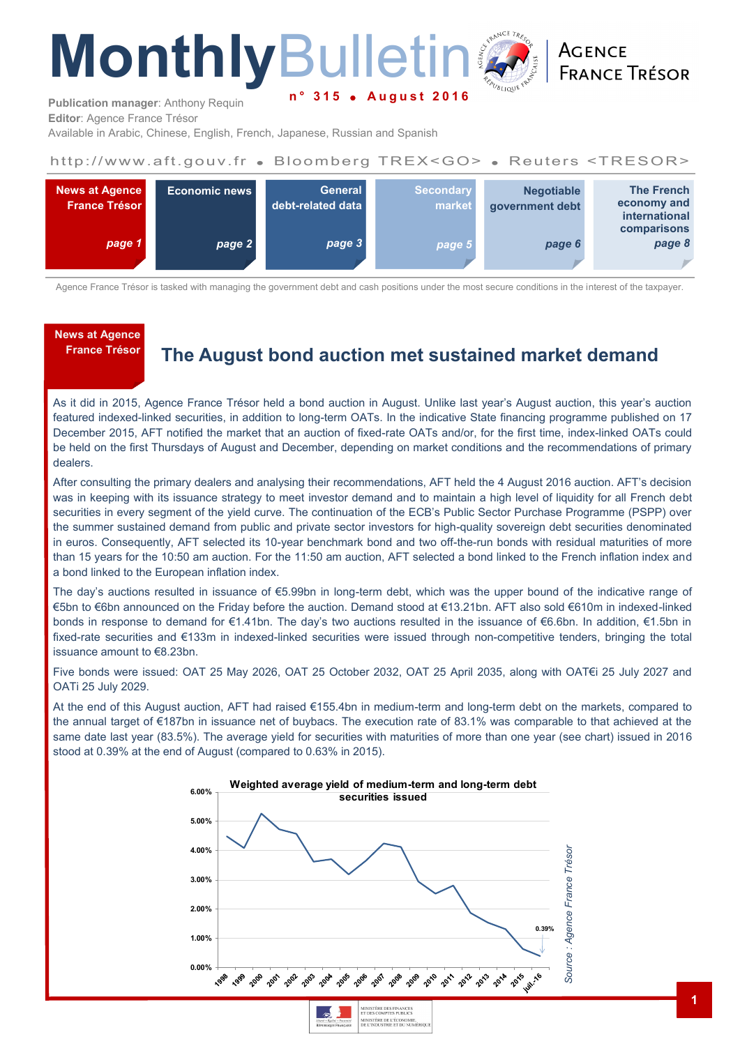# **Monthly**Bulletin **n ° 3 1 5 A u g u s t 2 0 1 6**

**ACENCE FRANCE TRÉSOR** 

**Publication manager**: Anthony Requin **Editor**: Agence France Trésor

Available in Arabic, Chinese, English, French, Japanese, Russian and Spanish

#### http://www.aft.gouv.fr . Bloomberg TREX<GO> . Reuters <TRESOR>



Agence France Trésor is tasked with managing the government debt and cash positions under the most secure conditions in the interest of the taxpayer.

# **News at Agence**

# **France Trésor The August bond auction met sustained market demand**

As it did in 2015, Agence France Trésor held a bond auction in August. Unlike last year's August auction, this year's auction featured indexed-linked securities, in addition to long-term OATs. In the indicative State financing programme published on 17 December 2015, AFT notified the market that an auction of fixed-rate OATs and/or, for the first time, index-linked OATs could be held on the first Thursdays of August and December, depending on market conditions and the recommendations of primary dealers.

After consulting the primary dealers and analysing their recommendations, AFT held the 4 August 2016 auction. AFT's decision was in keeping with its issuance strategy to meet investor demand and to maintain a high level of liquidity for all French debt securities in every segment of the yield curve. The continuation of the ECB's Public Sector Purchase Programme (PSPP) over the summer sustained demand from public and private sector investors for high-quality sovereign debt securities denominated in euros. Consequently, AFT selected its 10-year benchmark bond and two off-the-run bonds with residual maturities of more than 15 years for the 10:50 am auction. For the 11:50 am auction, AFT selected a bond linked to the French inflation index and a bond linked to the European inflation index.

The day's auctions resulted in issuance of €5.99bn in long-term debt, which was the upper bound of the indicative range of €5bn to €6bn announced on the Friday before the auction. Demand stood at €13.21bn. AFT also sold €610m in indexed-linked bonds in response to demand for €1.41bn. The day's two auctions resulted in the issuance of €6.6bn. In addition, €1.5bn in fixed-rate securities and €133m in indexed-linked securities were issued through non-competitive tenders, bringing the total issuance amount to €8.23bn.

Five bonds were issued: OAT 25 May 2026, OAT 25 October 2032, OAT 25 April 2035, along with OAT€i 25 July 2027 and OATi 25 July 2029.

At the end of this August auction, AFT had raised €155.4bn in medium-term and long-term debt on the markets, compared to the annual target of €187bn in issuance net of buybacs. The execution rate of 83.1% was comparable to that achieved at the same date last year (83.5%). The average yield for securities with maturities of more than one year (see chart) issued in 2016 stood at 0.39% at the end of August (compared to 0.63% in 2015).

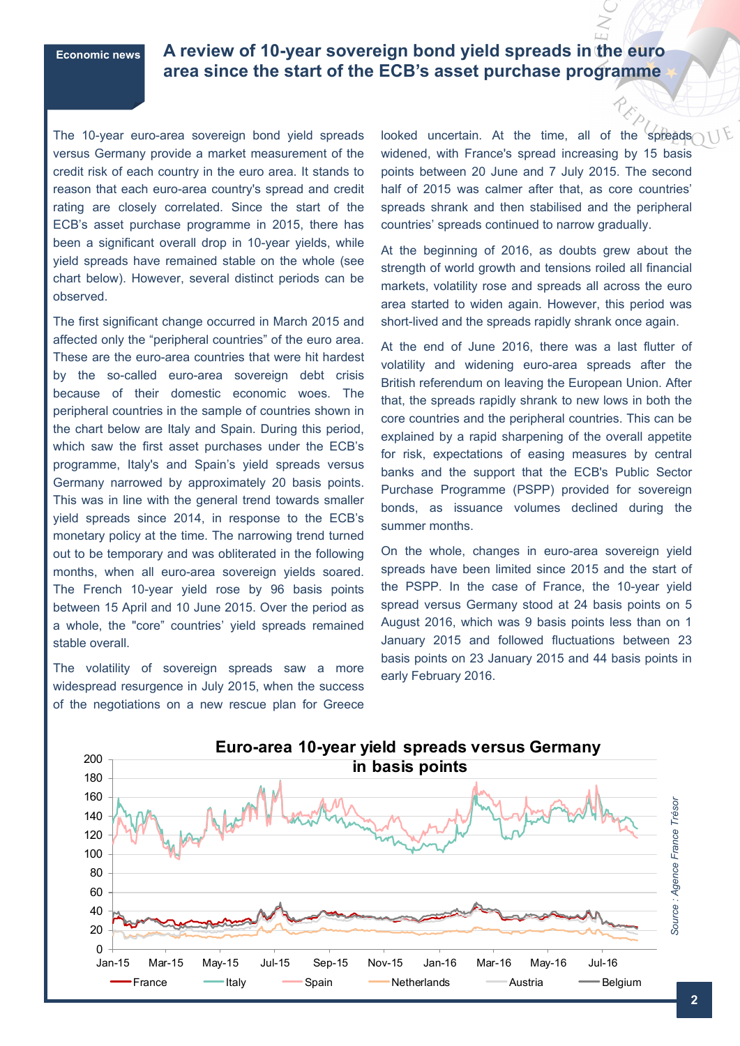# **Economic news A review of 10-year sovereign bond yield spreads in the euro area since the start of the ECB's asset purchase programme**

The 10-year euro-area sovereign bond vield spreads versus Germany provide a market measurement of the credit risk of each country in the euro area. It stands to reason that each euro-area country's spread and credit rating are closely correlated. Since the start of the ECB's asset purchase programme in 2015, there has been a significant overall drop in 10-year yields, while yield spreads have remained stable on the whole (see chart below). However, several distinct periods can be observed.

The first significant change occurred in March 2015 and affected only the "peripheral countries" of the euro area. These are the euro-area countries that were hit hardest by the so-called euro-area sovereign debt crisis because of their domestic economic woes. The peripheral countries in the sample of countries shown in the chart below are Italy and Spain. During this period, which saw the first asset purchases under the ECB's programme, Italy's and Spain's yield spreads versus Germany narrowed by approximately 20 basis points. This was in line with the general trend towards smaller yield spreads since 2014, in response to the ECB's monetary policy at the time. The narrowing trend turned out to be temporary and was obliterated in the following months, when all euro-area sovereign yields soared. The French 10-year yield rose by 96 basis points between 15 April and 10 June 2015. Over the period as a whole, the "core" countries' yield spreads remained stable overall.

The volatility of sovereign spreads saw a more widespread resurgence in July 2015, when the success of the negotiations on a new rescue plan for Greece looked uncertain. At the time, all of the spreads widened, with France's spread increasing by 15 basis points between 20 June and 7 July 2015. The second half of 2015 was calmer after that, as core countries' spreads shrank and then stabilised and the peripheral countries' spreads continued to narrow gradually.

At the beginning of 2016, as doubts grew about the strength of world growth and tensions roiled all financial markets, volatility rose and spreads all across the euro area started to widen again. However, this period was short-lived and the spreads rapidly shrank once again.

At the end of June 2016, there was a last flutter of volatility and widening euro-area spreads after the British referendum on leaving the European Union. After that, the spreads rapidly shrank to new lows in both the core countries and the peripheral countries. This can be explained by a rapid sharpening of the overall appetite for risk, expectations of easing measures by central banks and the support that the ECB's Public Sector Purchase Programme (PSPP) provided for sovereign bonds, as issuance volumes declined during the summer months.

On the whole, changes in euro-area sovereign yield spreads have been limited since 2015 and the start of the PSPP. In the case of France, the 10-year yield spread versus Germany stood at 24 basis points on 5 August 2016, which was 9 basis points less than on 1 January 2015 and followed fluctuations between 23 basis points on 23 January 2015 and 44 basis points in early February 2016.

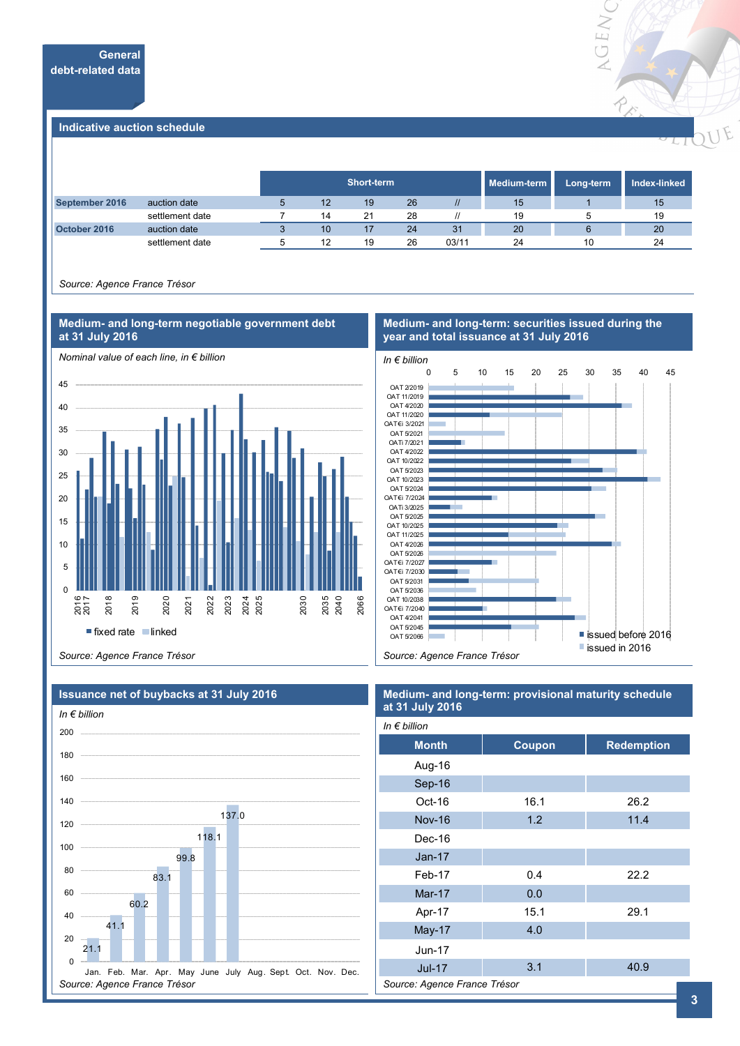

#### **Indicative auction schedule**

|                |                 | Short-term  |    |    |    |       | Medium-term | Long-term | Index-linked |
|----------------|-----------------|-------------|----|----|----|-------|-------------|-----------|--------------|
| September 2016 | auction date    | $\mathbf b$ | 12 | 19 | 26 |       | 15          |           | 15           |
|                | settlement date |             | 14 | 21 | 28 |       | 19          |           | 19           |
| October 2016   | auction date    |             | 10 | 17 | 24 | 31    | 20          |           | 20           |
|                | settlement date |             | 12 | 19 | 26 | 03/11 | 24          | 10        | 24           |

*Source: Agence France Trésor*



#### **Medium- and long-term: securities issued during the year and total issuance at 31 July 2016**



*Source: Agence France Trésor*



#### **Medium- and long-term: provisional maturity schedule at 31 July 2016**

| In $\epsilon$ billion        |        |                   |  |  |  |  |  |
|------------------------------|--------|-------------------|--|--|--|--|--|
| <b>Month</b>                 | Coupon | <b>Redemption</b> |  |  |  |  |  |
| Aug-16                       |        |                   |  |  |  |  |  |
| Sep-16                       |        |                   |  |  |  |  |  |
| Oct-16                       | 16.1   | 26.2              |  |  |  |  |  |
| <b>Nov-16</b>                | 1.2    | 11.4              |  |  |  |  |  |
| Dec-16                       |        |                   |  |  |  |  |  |
| $Jan-17$                     |        |                   |  |  |  |  |  |
| Feb-17                       | 0.4    | 22.2              |  |  |  |  |  |
| Mar-17                       | 0.0    |                   |  |  |  |  |  |
| Apr-17                       | 15.1   | 29.1              |  |  |  |  |  |
| May-17                       | 4.0    |                   |  |  |  |  |  |
| <b>Jun-17</b>                |        |                   |  |  |  |  |  |
| <b>Jul-17</b>                | 3.1    | 40.9              |  |  |  |  |  |
| Source: Agence France Trésor |        |                   |  |  |  |  |  |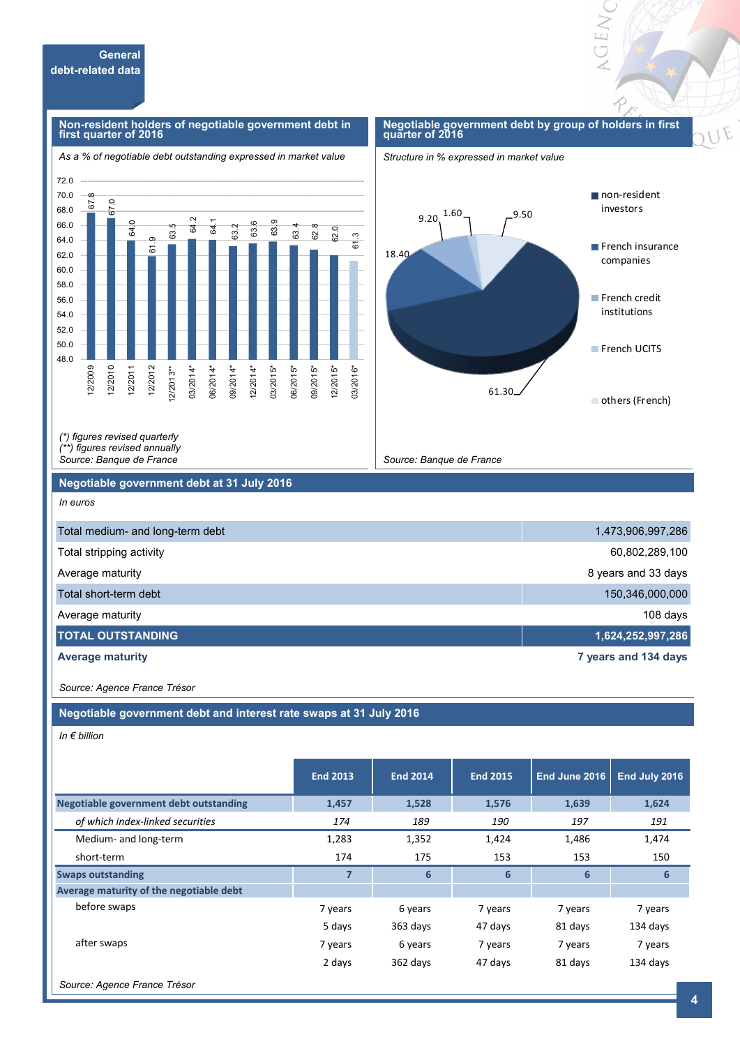#### **Non-resident holders of negotiable government debt in first quarter of 2016**

#### **Negotiable government debt by group of holders in first quarter of 2016**

**GENC** 





*(\*) figures revised quarterly (\*\*) figures revised annually* 

*Source: Banque de France*

#### **Negotiable government debt at 31 July 2016**

*In euros*

| Total medium- and long-term debt | 1,473,906,997,286    |
|----------------------------------|----------------------|
| Total stripping activity         | 60,802,289,100       |
| Average maturity                 | 8 years and 33 days  |
| Total short-term debt            | 150,346,000,000      |
| Average maturity                 | 108 days             |
| <b>TOTAL OUTSTANDING</b>         | 1,624,252,997,286    |
| <b>Average maturity</b>          | 7 years and 134 days |

*Source: Banque de France*

*Source: Agence France Trésor*

**Negotiable government debt and interest rate swaps at 31 July 2016**

*In € billion*

|                                               | <b>End 2013</b> | <b>End 2014</b> | <b>End 2015</b> | End June 2016 | End July 2016 |
|-----------------------------------------------|-----------------|-----------------|-----------------|---------------|---------------|
| <b>Negotiable government debt outstanding</b> | 1,457           | 1,528           | 1,576           | 1,639         | 1,624         |
| of which index-linked securities              | 174             | 189             | 190             | 197           | 191           |
| Medium- and long-term                         | 1,283           | 1,352           | 1,424           | 1,486         | 1,474         |
| short-term                                    | 174             | 175             | 153             | 153           | 150           |
| <b>Swaps outstanding</b>                      | $\overline{7}$  | $6\phantom{1}$  | 6               | 6             | 6             |
| Average maturity of the negotiable debt       |                 |                 |                 |               |               |
| before swaps                                  | 7 years         | 6 years         | 7 years         | 7 years       | 7 years       |
|                                               | 5 days          | 363 days        | 47 days         | 81 days       | 134 days      |
| after swaps                                   | 7 years         | 6 years         | 7 years         | 7 years       | 7 years       |
|                                               | 2 days          | 362 days        | 47 days         | 81 days       | 134 days      |
| Source: Agence France Trésor                  |                 |                 |                 |               |               |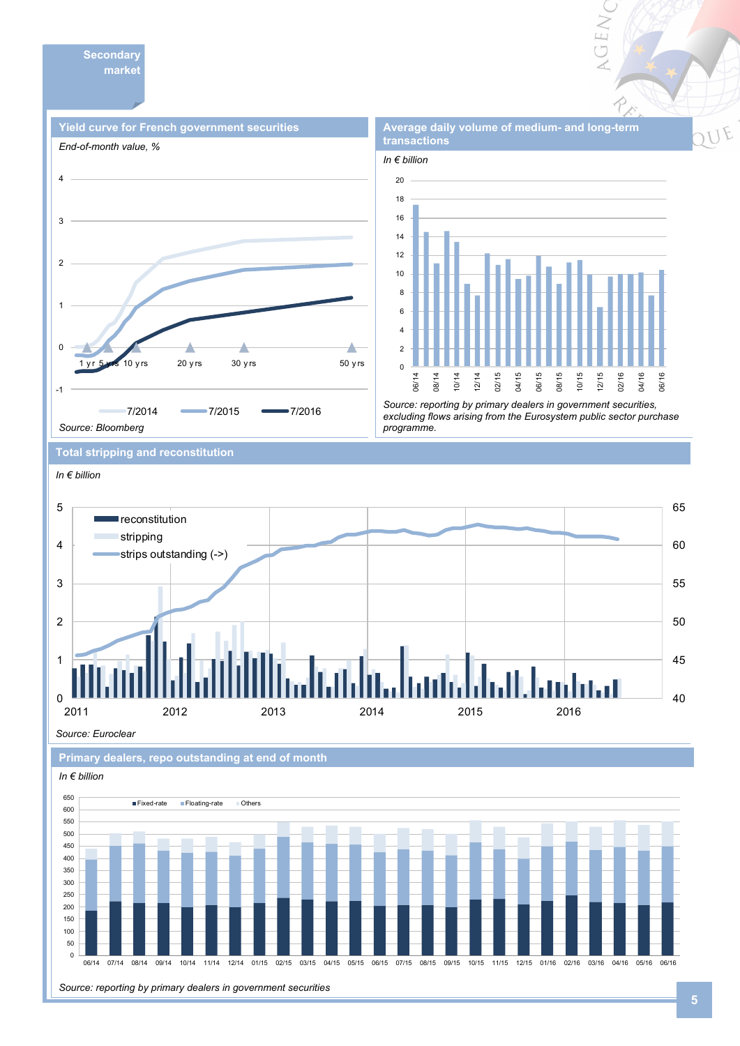**Secondary market** 





**Average daily volume of medium- and long-term** 

VGEN

*Source: reporting by primary dealers in government securities, excluding flows arising from the Eurosystem public sector purchase programme.* 

**Total stripping and reconstitution** 



*Source: Euroclear*





*Source: reporting by primary dealers in government securities*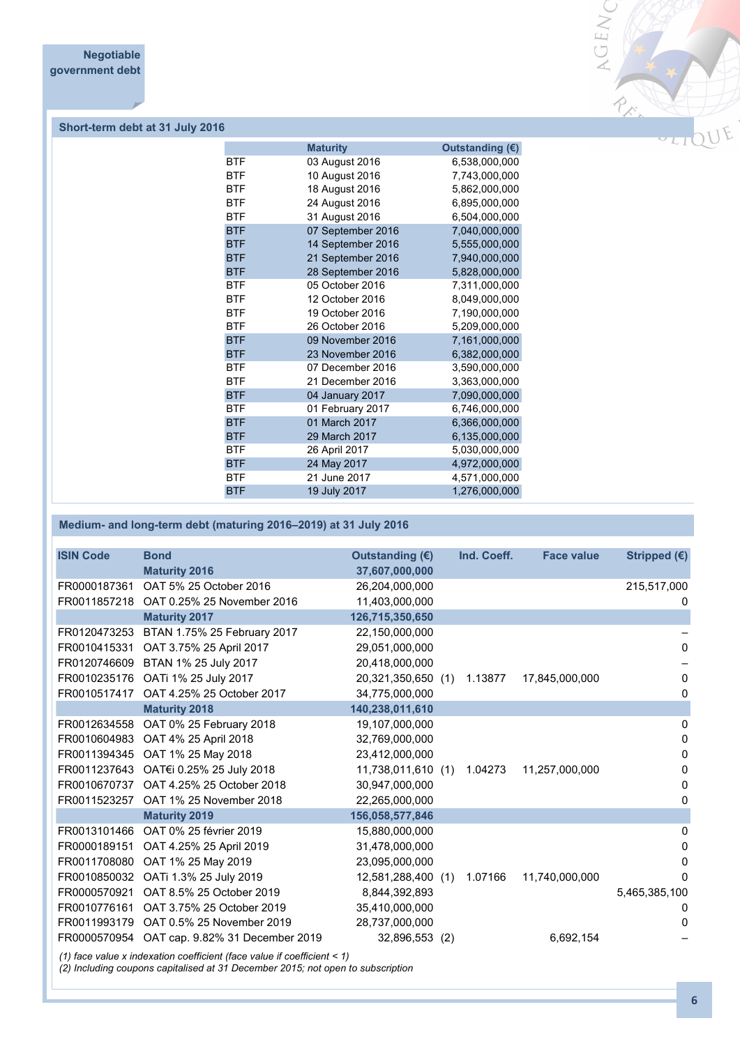

## **Short-term debt at 31 July 2016**

|            | <b>Maturity</b>   | Outstanding (€) |
|------------|-------------------|-----------------|
| <b>BTF</b> | 03 August 2016    | 6,538,000,000   |
| <b>BTF</b> | 10 August 2016    | 7,743,000,000   |
| <b>BTF</b> | 18 August 2016    | 5,862,000,000   |
| <b>BTF</b> | 24 August 2016    | 6,895,000,000   |
| <b>BTF</b> | 31 August 2016    | 6,504,000,000   |
| <b>BTF</b> | 07 September 2016 | 7,040,000,000   |
| <b>BTF</b> | 14 September 2016 | 5,555,000,000   |
| <b>BTF</b> | 21 September 2016 | 7,940,000,000   |
| <b>BTF</b> | 28 September 2016 | 5,828,000,000   |
| <b>BTF</b> | 05 October 2016   | 7,311,000,000   |
| <b>BTF</b> | 12 October 2016   | 8,049,000,000   |
| <b>BTF</b> | 19 October 2016   | 7,190,000,000   |
| <b>BTF</b> | 26 October 2016   | 5,209,000,000   |
| <b>BTF</b> | 09 November 2016  | 7,161,000,000   |
| <b>BTF</b> | 23 November 2016  | 6,382,000,000   |
| <b>BTF</b> | 07 December 2016  | 3,590,000,000   |
| <b>BTF</b> | 21 December 2016  | 3,363,000,000   |
| <b>BTF</b> | 04 January 2017   | 7,090,000,000   |
| <b>BTF</b> | 01 February 2017  | 6,746,000,000   |
| <b>BTF</b> | 01 March 2017     | 6,366,000,000   |
| <b>BTF</b> | 29 March 2017     | 6,135,000,000   |
| <b>BTF</b> | 26 April 2017     | 5,030,000,000   |
| <b>BTF</b> | 24 May 2017       | 4,972,000,000   |
| <b>BTF</b> | 21 June 2017      | 4,571,000,000   |
| <b>BTF</b> | 19 July 2017      | 1,276,000,000   |
|            |                   |                 |

### **Medium- and long-term debt (maturing 2016–2019) at 31 July 2016**

| <b>ISIN Code</b> | <b>Bond</b>                     | Outstanding (€)    | Ind. Coeff. | <b>Face value</b> | Stripped (€)  |
|------------------|---------------------------------|--------------------|-------------|-------------------|---------------|
|                  | <b>Maturity 2016</b>            | 37,607,000,000     |             |                   |               |
| FR0000187361     | OAT 5% 25 October 2016          | 26,204,000,000     |             |                   | 215,517,000   |
| FR0011857218     | OAT 0.25% 25 November 2016      | 11.403.000.000     |             |                   | 0             |
|                  | <b>Maturity 2017</b>            | 126,715,350,650    |             |                   |               |
| FR0120473253     | BTAN 1.75% 25 February 2017     | 22,150,000,000     |             |                   |               |
| FR0010415331     | OAT 3.75% 25 April 2017         | 29,051,000,000     |             |                   | 0             |
| FR0120746609     | BTAN 1% 25 July 2017            | 20,418,000,000     |             |                   |               |
| FR0010235176     | OATi 1% 25 July 2017            | 20,321,350,650 (1) | 1.13877     | 17,845,000,000    | 0             |
| FR0010517417     | OAT 4.25% 25 October 2017       | 34,775,000,000     |             |                   | 0             |
|                  | <b>Maturity 2018</b>            | 140,238,011,610    |             |                   |               |
| FR0012634558     | OAT 0% 25 February 2018         | 19,107,000,000     |             |                   | 0             |
| FR0010604983     | OAT 4% 25 April 2018            | 32,769,000,000     |             |                   | 0             |
| FR0011394345     | OAT 1% 25 May 2018              | 23,412,000,000     |             |                   | 0             |
| FR0011237643     | OAT€i 0.25% 25 July 2018        | 11,738,011,610 (1) | 1.04273     | 11,257,000,000    | 0             |
| FR0010670737     | OAT 4.25% 25 October 2018       | 30,947,000,000     |             |                   | 0             |
| FR0011523257     | OAT 1% 25 November 2018         | 22,265,000,000     |             |                   | 0             |
|                  | <b>Maturity 2019</b>            | 156,058,577,846    |             |                   |               |
| FR0013101466     | OAT 0% 25 février 2019          | 15,880,000,000     |             |                   | 0             |
| FR0000189151     | OAT 4.25% 25 April 2019         | 31,478,000,000     |             |                   | 0             |
| FR0011708080     | OAT 1% 25 May 2019              | 23,095,000,000     |             |                   | 0             |
| FR0010850032     | OATi 1.3% 25 July 2019          | 12,581,288,400 (1) | 1.07166     | 11,740,000,000    | <sup>0</sup>  |
| FR0000570921     | OAT 8.5% 25 October 2019        | 8,844,392,893      |             |                   | 5,465,385,100 |
| FR0010776161     | OAT 3.75% 25 October 2019       | 35,410,000,000     |             |                   | 0             |
| FR0011993179     | OAT 0.5% 25 November 2019       | 28,737,000,000     |             |                   | 0             |
| FR0000570954     | OAT cap. 9.82% 31 December 2019 | 32,896,553 (2)     |             | 6,692,154         |               |
|                  |                                 |                    |             |                   |               |

*(1) face value x indexation coefficient (face value if coefficient < 1)*

*(2) Including coupons capitalised at 31 December 2015; not open to subscription*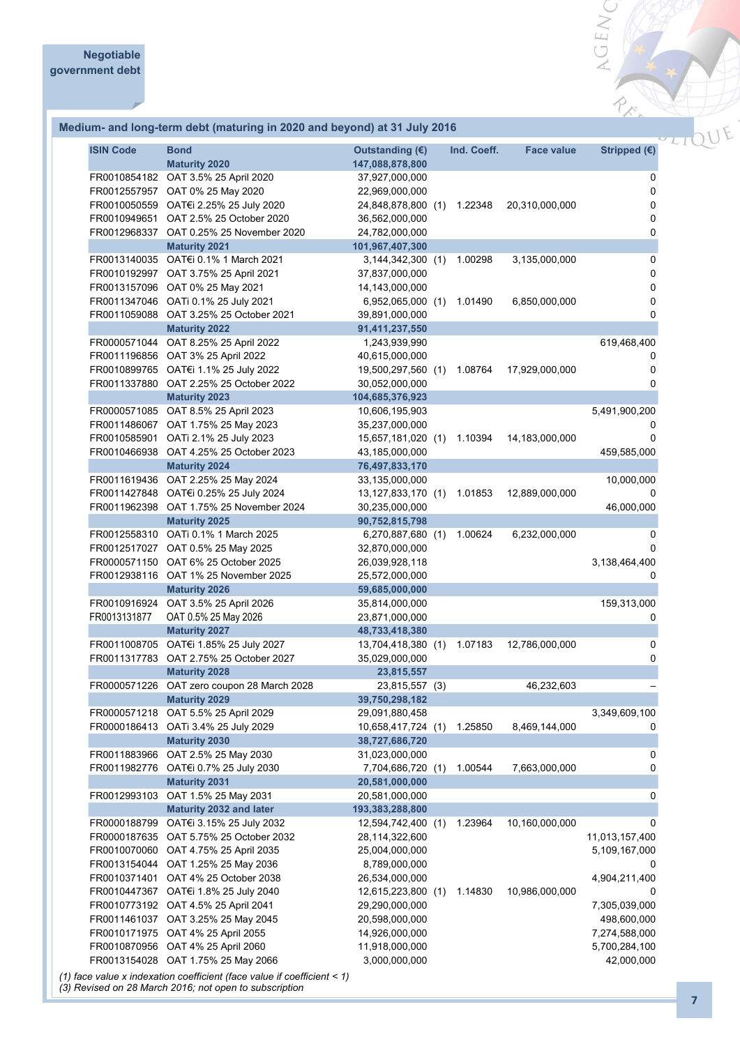#### **Medium- and long-term debt (maturing in 2020 and beyond) at 31 July 2016**

| <b>ISIN Code</b> | <b>Bond</b><br><b>Maturity 2020</b>                                                                                                                                                                                                                                                                                       | Outstanding $(E)$<br>147,088,878,800                                                                                                            |     | Ind. Coeff.        | <b>Face value</b>                | Stripped $(E)$                                                                                  |
|------------------|---------------------------------------------------------------------------------------------------------------------------------------------------------------------------------------------------------------------------------------------------------------------------------------------------------------------------|-------------------------------------------------------------------------------------------------------------------------------------------------|-----|--------------------|----------------------------------|-------------------------------------------------------------------------------------------------|
|                  | FR0010854182 OAT 3.5% 25 April 2020<br>FR0012557957 OAT 0% 25 May 2020<br>FR0010050559 OAT€i 2.25% 25 July 2020<br>FR0010949651 OAT 2.5% 25 October 2020<br>FR0012968337 OAT 0.25% 25 November 2020                                                                                                                       | 37,927,000,000<br>22,969,000,000<br>24,848,878,800 (1)<br>36,562,000,000<br>24,782,000,000                                                      |     | 1.22348            | 20,310,000,000                   | 0<br>$\pmb{0}$<br>0<br>0<br>0                                                                   |
|                  | <b>Maturity 2021</b><br>FR0013140035 OAT€i 0.1% 1 March 2021<br>FR0010192997 OAT 3.75% 25 April 2021                                                                                                                                                                                                                      | 101,967,407,300<br>3,144,342,300 (1)<br>37,837,000,000                                                                                          |     | 1.00298            | 3,135,000,000                    | 0<br>$\pmb{0}$                                                                                  |
|                  | FR0013157096 OAT 0% 25 May 2021<br>FR0011347046 OATi 0.1% 25 July 2021<br>FR0011059088 OAT 3.25% 25 October 2021                                                                                                                                                                                                          | 14,143,000,000<br>6,952,065,000 (1)<br>39,891,000,000                                                                                           |     | 1.01490            | 6,850,000,000                    | 0<br>0<br>0                                                                                     |
|                  | <b>Maturity 2022</b><br>FR0000571044 OAT 8.25% 25 April 2022<br>FR0011196856 OAT 3% 25 April 2022<br>FR0010899765 OAT€i 1.1% 25 July 2022<br>FR0011337880 OAT 2.25% 25 October 2022                                                                                                                                       | 91,411,237,550<br>1,243,939,990<br>40,615,000,000<br>19,500,297,560 (1)<br>30,052,000,000                                                       |     | 1.08764            | 17,929,000,000                   | 619,468,400<br>0<br>0<br>0                                                                      |
|                  | <b>Maturity 2023</b>                                                                                                                                                                                                                                                                                                      | 104,685,376,923                                                                                                                                 |     |                    |                                  |                                                                                                 |
|                  | FR0000571085 OAT 8.5% 25 April 2023<br>FR0011486067 OAT 1.75% 25 May 2023<br>FR0010585901 OATi 2.1% 25 July 2023<br>FR0010466938 OAT 4.25% 25 October 2023                                                                                                                                                                | 10,606,195,903<br>35,237,000,000<br>15,657,181,020 (1)<br>43,185,000,000                                                                        |     | 1.10394            | 14,183,000,000                   | 5,491,900,200<br>0<br>459,585,000                                                               |
|                  | <b>Maturity 2024</b><br>FR0011619436 OAT 2.25% 25 May 2024<br>FR0011427848 OAT€i 0.25% 25 July 2024<br>FR0011962398 OAT 1.75% 25 November 2024                                                                                                                                                                            | 76,497,833,170<br>33,135,000,000<br>13,127,833,170 (1)<br>30,235,000,000                                                                        |     | 1.01853            | 12,889,000,000                   | 10,000,000<br>46,000,000                                                                        |
|                  | <b>Maturity 2025</b>                                                                                                                                                                                                                                                                                                      | 90,752,815,798                                                                                                                                  |     |                    |                                  |                                                                                                 |
|                  | FR0012558310 OATi 0.1% 1 March 2025<br>FR0012517027 OAT 0.5% 25 May 2025<br>FR0000571150 OAT 6% 25 October 2025<br>FR0012938116 OAT 1% 25 November 2025                                                                                                                                                                   | 6,270,887,680 (1)<br>32,870,000,000<br>26,039,928,118<br>25,572,000,000                                                                         |     | 1.00624            | 6,232,000,000                    | 0<br>0<br>3,138,464,400<br>0                                                                    |
| FR0013131877     | <b>Maturity 2026</b><br>FR0010916924 OAT 3.5% 25 April 2026<br>OAT 0.5% 25 May 2026                                                                                                                                                                                                                                       | 59,685,000,000<br>35,814,000,000<br>23,871,000,000                                                                                              |     |                    |                                  | 159,313,000<br>0                                                                                |
|                  | <b>Maturity 2027</b><br>FR0011008705 OAT€i 1.85% 25 July 2027<br>FR0011317783 OAT 2.75% 25 October 2027<br><b>Maturity 2028</b>                                                                                                                                                                                           | 48,733,418,380<br>13,704,418,380 (1)<br>35,029,000,000<br>23,815,557                                                                            |     | 1.07183            | 12,786,000,000                   | 0<br>0                                                                                          |
|                  | FR0000571226 OAT zero coupon 28 March 2028                                                                                                                                                                                                                                                                                | 23,815,557 (3)                                                                                                                                  |     |                    | 46,232,603                       |                                                                                                 |
| FR0000571218     | <b>Maturity 2029</b><br>OAT 5.5% 25 April 2029<br>FR0000186413 OATi 3.4% 25 July 2029                                                                                                                                                                                                                                     | 39,750,298,182<br>29,091,880,458<br>10,658,417,724 (1)                                                                                          |     | 1.25850            | 8,469,144,000                    | 3,349,609,100<br>0                                                                              |
|                  | <b>Maturity 2030</b><br>FR0011883966 OAT 2.5% 25 May 2030<br>FR0011982776 OAT€i 0.7% 25 July 2030                                                                                                                                                                                                                         | 38,727,686,720<br>31,023,000,000<br>7,704,686,720 (1)                                                                                           |     | 1.00544            | 7,663,000,000                    | 0<br>0                                                                                          |
|                  | <b>Maturity 2031</b><br>FR0012993103 OAT 1.5% 25 May 2031<br>Maturity 2032 and later                                                                                                                                                                                                                                      | 20,581,000,000<br>20,581,000,000<br>193,383,288,800                                                                                             |     |                    |                                  | 0                                                                                               |
|                  | FR0000188799 OAT€i 3.15% 25 July 2032<br>FR0000187635 OAT 5.75% 25 October 2032<br>FR0010070060 OAT 4.75% 25 April 2035<br>FR0013154044 OAT 1.25% 25 May 2036<br>FR0010371401 OAT 4% 25 October 2038<br>FR0010447367 OAT€i 1.8% 25 July 2040<br>FR0010773192 OAT 4.5% 25 April 2041<br>FR0011461037 OAT 3.25% 25 May 2045 | 12,594,742,400<br>28,114,322,600<br>25,004,000,000<br>8,789,000,000<br>26,534,000,000<br>12,615,223,800 (1)<br>29,290,000,000<br>20,598,000,000 | (1) | 1.23964<br>1.14830 | 10,160,000,000<br>10,986,000,000 | 0<br>11,013,157,400<br>5,109,167,000<br>0<br>4,904,211,400<br>0<br>7,305,039,000<br>498,600,000 |
|                  | FR0010171975 OAT 4% 25 April 2055<br>FR0010870956 OAT 4% 25 April 2060<br>FR0013154028 OAT 1.75% 25 May 2066<br>(1) face value x indexation coefficient (face value if coefficient < 1)                                                                                                                                   | 14,926,000,000<br>11,918,000,000<br>3,000,000,000                                                                                               |     |                    |                                  | 7,274,588,000<br>5,700,284,100<br>42,000,000                                                    |

*(3) Revised on 28 March 2016; not open to subscription*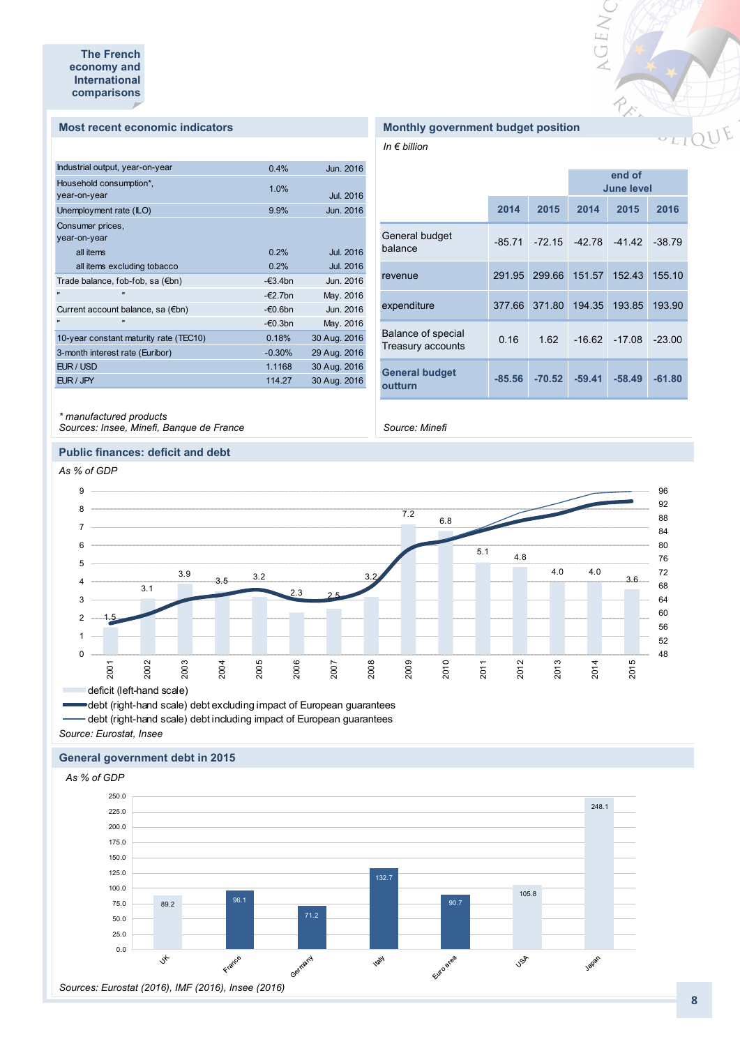#### **Most recent economic indicators**

| Industrial output, year-on-year        | 0.4%              | Jun. 2016        |
|----------------------------------------|-------------------|------------------|
| Household consumption*,                | 1.0%              |                  |
| year-on-year                           |                   | Jul. 2016        |
| Unemployment rate (ILO)                | 9.9%              | Jun. 2016        |
| Consumer prices,                       |                   |                  |
| year-on-year                           |                   |                  |
| all items                              | 0.2%              | <b>Jul. 2016</b> |
| all items excluding tobacco            | 0.2%              | Jul. 2016        |
| Trade balance, fob-fob, sa (€bn)       | $-\epsilon$ 3.4bn | Jun. 2016        |
| $\mathbf{u}$<br>$\blacksquare$         | $-\epsilon$ 2.7bn | May. 2016        |
| Current account balance, sa (€bn)      | $-60.6$ bn        | Jun. 2016        |
| $\mathbf{u}$<br>$\blacksquare$         | $-60.3$ bn        | May. 2016        |
| 10-year constant maturity rate (TEC10) | 0.18%             | 30 Aug. 2016     |
| 3-month interest rate (Euribor)        | $-0.30%$          | 29 Aug. 2016     |
| EUR / USD                              | 1.1168            | 30 Aug. 2016     |
| EUR / JPY                              | 114.27            | 30 Aug. 2016     |
|                                        |                   |                  |

#### **Monthly government budget position**

*In € billion*

|                                                |          |          |          | <b>June level</b> |          |
|------------------------------------------------|----------|----------|----------|-------------------|----------|
|                                                | 2014     | 2015     | 2014     | 2015              | 2016     |
| General budget<br>balance                      | $-85.71$ | $-72.15$ | $-42.78$ | $-41.42$          | $-38.79$ |
| revenue                                        | 291.95   | 299.66   | 151.57   | 152.43            | 155.10   |
| expenditure                                    | 377.66   | 371.80   | 194.35   | 193.85            | 193.90   |
| Balance of special<br><b>Treasury accounts</b> | 0.16     | 1.62     | $-16.62$ | $-17.08$          | $-23.00$ |
| <b>General budget</b><br>outturn               | $-85.56$ | $-70.52$ | $-59.41$ | $-58.49$          | $-61.80$ |

VGEW

RECTION

*\* manufactured products Sources: Insee, Minefi, Banque de France*

**Public finances: deficit and debt**

### *Source: Minefi*



debt (right-hand scale) debt excluding impact of European guarantees debt (right-hand scale) debt including impact of European guarantees

*Source: Eurostat, Insee*

#### **General government debt in 2015**